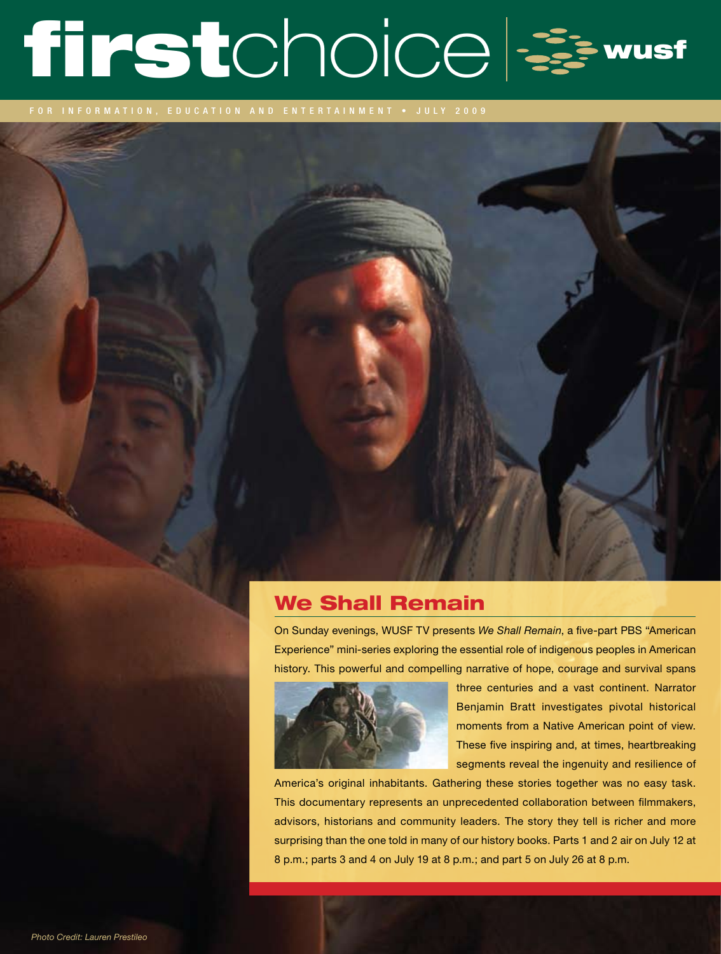# firstchoice =

for information, education and entertainment • J U LY 2009

## We Shall Remain

On Sunday evenings, WUSF TV presents *We Shall Remain*, a five-part PBS "American Experience" mini-series exploring the essential role of indigenous peoples in American history. This powerful and compelling narrative of hope, courage and survival spans



three centuries and a vast continent. Narrator Benjamin Bratt investigates pivotal historical moments from a Native American point of view. These five inspiring and, at times, heartbreaking segments reveal the ingenuity and resilience of

America's original inhabitants. Gathering these stories together was no easy task. This documentary represents an unprecedented collaboration between filmmakers, advisors, historians and community leaders. The story they tell is richer and more surprising than the one told in many of our history books. Parts 1 and 2 air on July 12 at 8 p.m.; parts 3 and 4 on July 19 at 8 p.m.; and part 5 on July 26 at 8 p.m.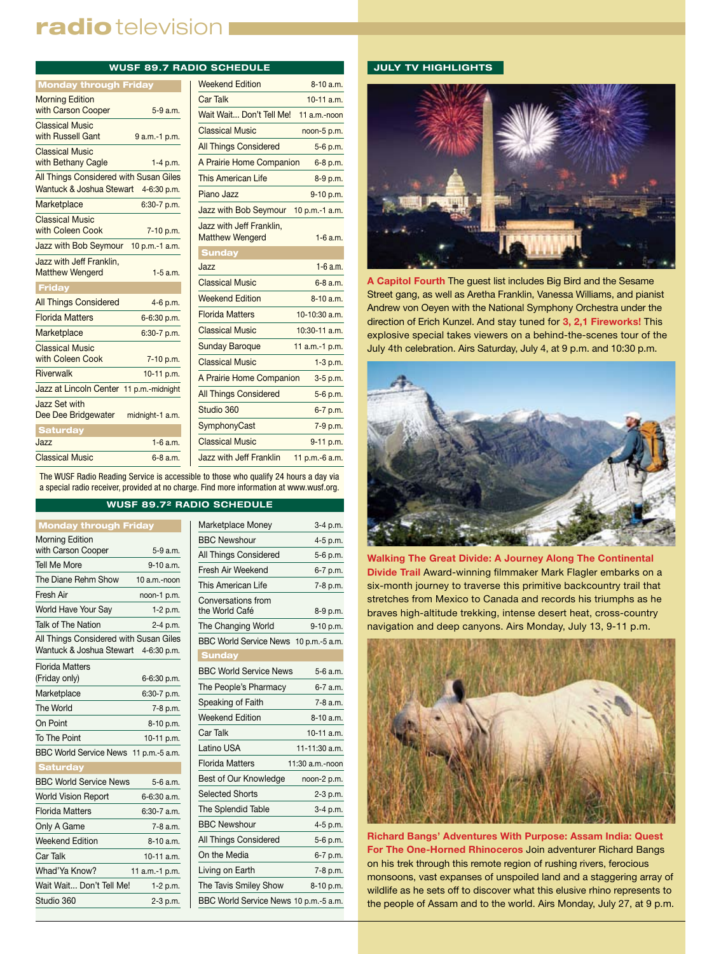# radio television I

|                                                    |                 | <b>WUSF 89.7 RADIO SCHEDULE</b>                |
|----------------------------------------------------|-----------------|------------------------------------------------|
| <b>Monday through Friday</b>                       |                 | <b>Weekend Edition</b>                         |
| <b>Morning Edition</b>                             |                 | <b>Car Talk</b>                                |
| with Carson Cooper                                 | $5-9a.m.$       | Wait Wait Don't Te                             |
| <b>Classical Music</b><br>with Russell Gant        | $9a.m.-1 p.m.$  | <b>Classical Music</b>                         |
| <b>Classical Music</b>                             |                 | <b>All Things Consider</b>                     |
| with Bethany Cagle                                 | $1-4 p.m.$      | A Prairie Home Cor                             |
| All Things Considered with Susan Giles             |                 | This American Life                             |
| Wantuck & Joshua Stewart 4-6:30 p.m.               |                 | Piano Jazz                                     |
| Marketplace                                        | 6:30-7 p.m.     | Jazz with Bob Seyn                             |
| <b>Classical Music</b><br>with Coleen Cook         | 7-10 p.m.       | Jazz with Jeff Frank<br><b>Matthew Wengerd</b> |
| Jazz with Bob Seymour                              | 10 p.m.-1 a.m.  | <b>Sunday</b>                                  |
| Jazz with Jeff Franklin,<br><b>Matthew Wengerd</b> | $1-5$ a.m.      | Jazz                                           |
| Friday                                             |                 | <b>Classical Music</b>                         |
| <b>All Things Considered</b>                       | 4-6 p.m.        | <b>Weekend Edition</b>                         |
| <b>Florida Matters</b>                             | 6-6:30 p.m.     | <b>Florida Matters</b>                         |
| Marketplace                                        | 6:30-7 p.m.     | <b>Classical Music</b>                         |
| <b>Classical Music</b>                             |                 | <b>Sunday Baroque</b>                          |
| with Coleen Cook                                   | 7-10 p.m.       | <b>Classical Music</b>                         |
| <b>Riverwalk</b>                                   | 10-11 p.m.      | A Prairie Home Cor                             |
| Jazz at Lincoln Center 11 p.m.-midnight            |                 | <b>All Things Consider</b>                     |
| Jazz Set with<br>Dee Dee Bridgewater               | midnight-1 a.m. | Studio 360                                     |
| <b>Saturday</b>                                    |                 | SymphonyCast                                   |
| Jazz                                               | $1-6$ a.m.      | <b>Classical Music</b>                         |
| <b>Classical Music</b>                             | $6 - 8$ a.m.    | Jazz with Jeff Frank                           |

| <b>Weekend Edition</b>                             | 8-10 a.m.      |
|----------------------------------------------------|----------------|
| Car Talk                                           | $10-11$ a m    |
| Wait Wait Don't Tell Me!                           | $11$ a.m.-noon |
| <b>Classical Music</b>                             | noon-5 p.m.    |
| <b>All Things Considered</b>                       | 5-6 p.m.       |
| A Prairie Home Companion                           | 6-8 p.m.       |
| <b>This American Life</b>                          | 8-9 p.m.       |
| Piano Jazz                                         | 9-10 p.m.      |
| Jazz with Bob Seymour                              | 10 p.m.-1 a.m. |
| Jazz with Jeff Franklin.<br><b>Matthew Wengerd</b> | $1-6a$ m       |
| <b>Sunday</b>                                      |                |
| Jazz                                               | $1 - 6$ a.m.   |
| <b>Classical Music</b>                             | $6 - 8$ a.m.   |
| <b>Weekend Edition</b>                             | $8-10a$ m      |
| <b>Florida Matters</b>                             | $10-10:30$ a m |
| <b>Classical Music</b>                             | 10:30-11 a.m.  |
| <b>Sunday Baroque</b>                              | 11 a.m.-1 p.m. |
| <b>Classical Music</b>                             | 1-3 p.m.       |
| A Prairie Home Companion                           | 3-5 p.m.       |
| <b>All Things Considered</b>                       | 5-6 p.m.       |
| Studio 360                                         | 6-7 p.m.       |
| SymphonyCast                                       | 7-9 p.m.       |
| <b>Classical Music</b>                             | 9-11 p.m.      |
| Jazz with Jeff Franklin                            | 11 p.m.-6 a.m. |
|                                                    |                |

The WUSF Radio Reading Service is accessible to those who qualify 24 hours a day via a special radio receiver, provided at no charge. Find more information at www.wusf.org.

#### **WUSF 89.72 RADIO SCHEDULE**

| <b>Monday through Friday</b>           |                |
|----------------------------------------|----------------|
| <b>Morning Edition</b>                 |                |
| with Carson Cooper                     | 5-9 a.m.       |
| <b>Tell Me More</b>                    | $9 - 10$ a m.  |
| The Diane Rehm Show                    | 10 a.m.-noon   |
| Fresh Air                              | noon-1 p.m.    |
| World Have Your Say                    | 1-2 p.m.       |
| Talk of The Nation                     | 2-4 p.m.       |
| All Things Considered with Susan Giles |                |
| Wantuck & Joshua Stewart               | 4-6:30 p.m.    |
| <b>Florida Matters</b>                 |                |
| (Friday only)                          | 6-6:30 p.m.    |
| Marketplace                            | 6:30-7 p.m.    |
| The World                              | 7-8 p.m.       |
| On Point                               | 8-10 p.m.      |
| To The Point                           | 10-11 p.m.     |
| BBC World Service News 11 p.m.-5 a.m.  |                |
| <b>Saturday</b>                        |                |
| <b>BBC World Service News</b>          | $5-6a.m.$      |
| <b>World Vision Report</b>             | 6-6:30 a.m.    |
| <b>Florida Matters</b>                 | 6:30-7 a.m.    |
| Only A Game                            | $7-8$ a.m.     |
| <b>Weekend Edition</b>                 | $8-10a.m.$     |
| Car Talk                               | $10-11$ a.m.   |
| Whad'Ya Know?                          | 11 a.m.-1 p.m. |
| Wait Wait Don't Tell Me!               | 1-2 p.m.       |
| Studio 360                             | 2-3 p.m.       |

| Marketplace Money                     | 3-4 p.m.        |  |
|---------------------------------------|-----------------|--|
| <b>BBC Newshour</b>                   | $4-5$ p.m.      |  |
| All Things Considered                 | 5-6 p.m.        |  |
| Fresh Air Weekend                     | 6-7 p.m.        |  |
| This American Life                    | 7-8 p.m.        |  |
| Conversations from<br>the World Café  | 8-9 p.m.        |  |
| The Changing World                    | 9-10 p.m.       |  |
| BBC World Service News 10 p.m.-5 a.m. |                 |  |
| <b>Sunday</b>                         |                 |  |
| <b>BBC World Service News</b>         | 5-6 a.m.        |  |
| The People's Pharmacy                 | 6-7 a.m.        |  |
| Speaking of Faith                     | 7-8 a.m.        |  |
| <b>Weekend Edition</b>                | 8-10 a.m.       |  |
| Car Talk                              | 10-11 a.m.      |  |
| Latino USA                            | 11-11:30 a.m.   |  |
| <b>Florida Matters</b>                | 11:30 a.m.-noon |  |
| Best of Our Knowledge                 | noon-2 p.m.     |  |
| <b>Selected Shorts</b>                | 2-3 p.m.        |  |
| <b>The Splendid Table</b>             | 3-4 p.m.        |  |
| <b>BBC Newshour</b>                   | 4-5 p.m.        |  |
| All Things Considered                 | 5-6 p.m.        |  |
| On the Media                          | 6-7 p.m.        |  |
| Living on Earth                       | 7-8 p.m.        |  |
| The Tavis Smiley Show                 | 8-10 p.m.       |  |
| BBC World Service News 10 p.m.-5 a.m. |                 |  |
|                                       |                 |  |

#### **JULY TV HIGHLIGHTS**



**A Capitol Fourth** The guest list includes Big Bird and the Sesame Street gang, as well as Aretha Franklin, Vanessa Williams, and pianist Andrew von Oeyen with the National Symphony Orchestra under the direction of Erich Kunzel. And stay tuned for **3, 2,1 Fireworks!** This explosive special takes viewers on a behind-the-scenes tour of the July 4th celebration. Airs Saturday, July 4, at 9 p.m. and 10:30 p.m.



**Walking The Great Divide: A Journey Along The Continental Divide Trail** Award-winning filmmaker Mark Flagler embarks on a six-month journey to traverse this primitive backcountry trail that stretches from Mexico to Canada and records his triumphs as he braves high-altitude trekking, intense desert heat, cross-country navigation and deep canyons. Airs Monday, July 13, 9-11 p.m.



**Richard Bangs' Adventures With Purpose: Assam India: Quest For The One-Horned Rhinoceros** Join adventurer Richard Bangs on his trek through this remote region of rushing rivers, ferocious monsoons, vast expanses of unspoiled land and a staggering array of wildlife as he sets off to discover what this elusive rhino represents to the people of Assam and to the world. Airs Monday, July 27, at 9 p.m.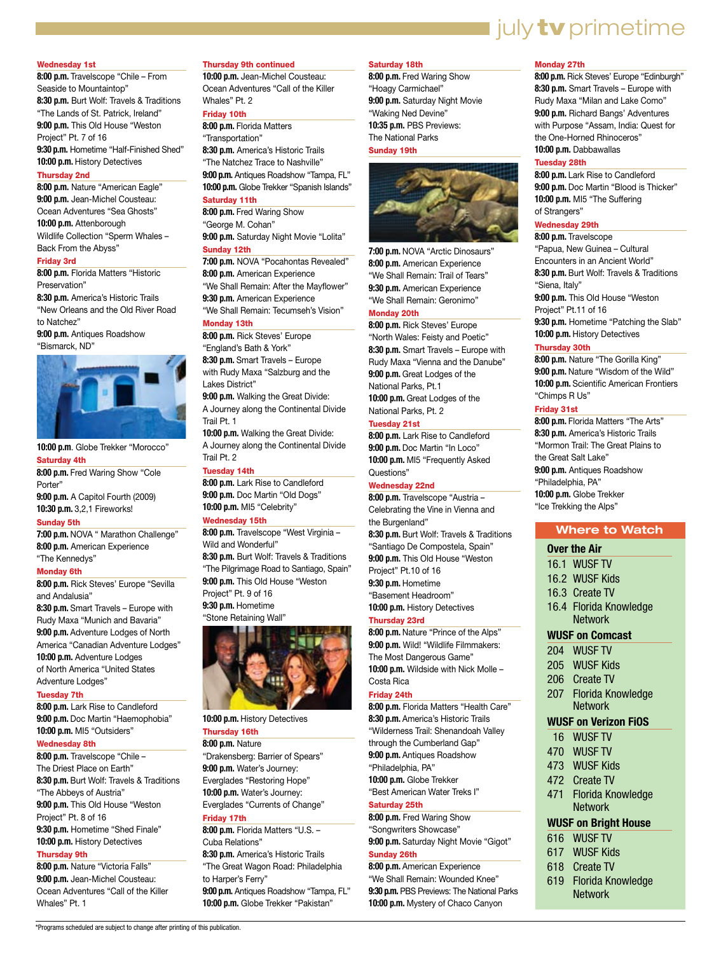#### Wednesday 1st

**8:00 p.m.** Travelscope "Chile – From Seaside to Mountaintop" **8:30 p.m.** Burt Wolf: Travels & Traditions "The Lands of St. Patrick, Ireland" **9:00 p.m.** This Old House "Weston Project" Pt. 7 of 16 **9:30 p.m.** Hometime "Half-Finished Shed"

**10:00 p.m.** History Detectives

#### Thursday 2nd

**8:00 p.m.** Nature "American Eagle" **9:00 p.m.** Jean-Michel Cousteau: Ocean Adventures "Sea Ghosts" **10:00 p.m.** Attenborough Wildlife Collection "Sperm Whales – Back From the Abyss"

#### Friday 3rd

**8:00 p.m.** Florida Matters "Historic Preservation"

**8:30 p.m.** America's Historic Trails "New Orleans and the Old River Road to Natchez"

**9:00 p.m.** Antiques Roadshow "Bismarck, ND"



**10:00 p.m**. Globe Trekker "Morocco"

#### Saturday 4th

**8:00 p.m.** Fred Waring Show "Cole Porter" **9:00 p.m.** A Capitol Fourth (2009) **10:30 p.m.** 3,2,1 Fireworks!

#### Sunday 5th

**7:00 p.m.** NOVA " Marathon Challenge" **8:00 p.m.** American Experience "The Kennedys"

#### Monday 6th

**8:00 p.m.** Rick Steves' Europe "Sevilla and Andalusia"

**8:30 p.m.** Smart Travels – Europe with Rudy Maxa "Munich and Bavaria" **9:00 p.m.** Adventure Lodges of North America "Canadian Adventure Lodges" **10:00 p.m.** Adventure Lodges of North America "United States Adventure Lodges"

#### Tuesday 7th

**8:00 p.m.** Lark Rise to Candleford **9:00 p.m.** Doc Martin "Haemophobia" **10:00 p.m.** MI5 "Outsiders"

#### Wednesday 8th

**8:00 p.m.** Travelscope "Chile – The Driest Place on Earth" **8:30 p.m.** Burt Wolf: Travels & Traditions "The Abbeys of Austria" **9:00 p.m.** This Old House "Weston Project" Pt. 8 of 16 **9:30 p.m.** Hometime "Shed Finale" **10:00 p.m.** History Detectives

#### Thursday 9th

**8:00 p.m.** Nature "Victoria Falls" **9:00 p.m.** Jean-Michel Cousteau: Ocean Adventures "Call of the Killer Whales" Pt. 1

\*Programs scheduled are subject to change after printing of this publication.

#### Thursday 9th continued

**10:00 p.m.** Jean-Michel Cousteau: Ocean Adventures "Call of the Killer Whales" Pt. 2

#### Friday 10th **8:00 p.m.** Florida Matters

"Transportation" **8:30 p.m.** America's Historic Trails

"The Natchez Trace to Nashville" **9:00 p.m.** Antiques Roadshow "Tampa, FL" **10:00 p.m.** Globe Trekker "Spanish Islands" Saturday 11th

**8:00 p.m.** Fred Waring Show "George M. Cohan" **9:00 p.m.** Saturday Night Movie "Lolita"

#### Sunday 12th **7:00 p.m.** NOVA "Pocahontas Revealed"

**8:00 p.m.** American Experience "We Shall Remain: After the Mayflower" **9:30 p.m.** American Experience "We Shall Remain: Tecumseh's Vision"

#### Monday 13th

**8:00 p.m.** Rick Steves' Europe "England's Bath & York" **8:30 p.m.** Smart Travels – Europe with Rudy Maxa "Salzburg and the Lakes District"

**9:00 p.m.** Walking the Great Divide: A Journey along the Continental Divide Trail Pt. 1

**10:00 p.m.** Walking the Great Divide: A Journey along the Continental Divide Trail Pt. 2

#### Tuesday 14th

**8:00 p.m.** Lark Rise to Candleford **9:00 p.m.** Doc Martin "Old Dogs" **10:00 p.m.** MI5 "Celebrity"

#### Wednesday 15th

**8:00 p.m.** Travelscope "West Virginia – Wild and Wonderful" **8:30 p.m.** Burt Wolf: Travels & Traditions "The Pilgrimage Road to Santiago, Spain" **9:00 p.m.** This Old House "Weston Project" Pt. 9 of 16 **9:30 p.m.** Hometime "Stone Retaining Wall"



**10:00 p.m.** History Detectives

## Thursday 16th

**8:00 p.m.** Nature "Drakensberg: Barrier of Spears" **9:00 p.m.** Water's Journey: Everglades "Restoring Hope" **10:00 p.m.** Water's Journey: Everglades "Currents of Change"

### Friday 17th

**8:00 p.m.** Florida Matters "U.S. – Cuba Relations" **8:30 p.m.** America's Historic Trails "The Great Wagon Road: Philadelphia to Harper's Ferry" **9:00 p.m.** Antiques Roadshow "Tampa, FL" **10:00 p.m.** Globe Trekker "Pakistan"

#### Saturday 18th

**8:00 p.m.** Fred Waring Show "Hoagy Carmichael" **9:00 p.m.** Saturday Night Movie "Waking Ned Devine" **10:35 p.m.** PBS Previews: The National Parks

#### Sunday 19th



**7:00 p.m.** NOVA "Arctic Dinosaurs" **8:00 p.m.** American Experience "We Shall Remain: Trail of Tears" **9:30 p.m.** American Experience "We Shall Remain: Geronimo" Monday 20th

**8:00 p.m.** Rick Steves' Europe "North Wales: Feisty and Poetic" **8:30 p.m.** Smart Travels – Europe with Rudy Maxa "Vienna and the Danube" **9:00 p.m.** Great Lodges of the National Parks, Pt.1 **10:00 p.m.** Great Lodges of the National Parks, Pt. 2

#### Tuesday 21st

**8:00 p.m.** Lark Rise to Candleford **9:00 p.m.** Doc Martin "In Loco" **10:00 p.m.** MI5 "Frequently Asked Questions"

#### Wednesday 22nd

**8:00 p.m.** Travelscope "Austria – Celebrating the Vine in Vienna and the Burgenland" **8:30 p.m.** Burt Wolf: Travels & Traditions "Santiago De Compostela, Spain" **9:00 p.m.** This Old House "Weston Project" Pt.10 of 16 **9:30 p.m.** Hometime "Basement Headroom" **10:00 p.m.** History Detectives

#### Thursday 23rd

**8:00 p.m.** Nature "Prince of the Alps" **9:00 p.m.** Wild! "Wildlife Filmmakers: The Most Dangerous Game" **10:00 p.m.** Wildside with Nick Molle –

#### Costa Rica Friday 24th

**8:00 p.m.** Florida Matters "Health Care" **8:30 p.m.** America's Historic Trails "Wilderness Trail: Shenandoah Valley through the Cumberland Gap" **9:00 p.m.** Antiques Roadshow "Philadelphia, PA" **10:00 p.m.** Globe Trekker "Best American Water Treks I"

#### Saturday 25th

**8:00 p.m.** Fred Waring Show "Songwriters Showcase" **9:00 p.m.** Saturday Night Movie "Gigot" Sunday 26th

**8:00 p.m.** American Experience "We Shall Remain: Wounded Knee"

**9:30 p.m.** PBS Previews: The National Parks **10:00 p.m.** Mystery of Chaco Canyon

#### Monday 27th

**8:00 p.m.** Rick Steves' Europe "Edinburgh" **8:30 p.m.** Smart Travels – Europe with Rudy Maxa "Milan and Lake Como" **9:00 p.m.** Richard Bangs' Adventures with Purpose "Assam, India: Quest for the One-Horned Rhinoceros" **10:00 p.m.** Dabbawallas

july **tv** primetime

#### Tuesday 28th

**8:00 p.m.** Lark Rise to Candleford **9:00 p.m.** Doc Martin "Blood is Thicker" **10:00 p.m.** MI5 "The Suffering of Strangers"

#### Wednesday 29th

**8:00 p.m.** Travelscope "Papua, New Guinea – Cultural Encounters in an Ancient World" **8:30 p.m.** Burt Wolf: Travels & Traditions "Siena, Italy" **9:00 p.m.** This Old House "Weston Project" Pt.11 of 16 **9:30 p.m.** Hometime "Patching the Slab" **10:00 p.m.** History Detectives

#### Thursday 30th

**8:00 p.m.** Nature "The Gorilla King" **9:00 p.m.** Nature "Wisdom of the Wild" **10:00 p.m.** Scientific American Frontiers "Chimps R Us"

#### Friday 31st

**8:00 p.m.** Florida Matters "The Arts" **8:30 p.m.** America's Historic Trails "Mormon Trail: The Great Plains to the Great Salt Lake" **9:00 p.m.** Antiques Roadshow "Philadelphia, PA" **10:00 p.m.** Globe Trekker "Ice Trekking the Alps"

#### **Where to Watch**

#### **Over the Air**

- 16.1 WUSF TV
- 16.2 WUSF Kids
- 16.3 Create TV
- 16.4 Florida Knowledge
- **Network**

#### **WUSF on Comcast**

- 204 WUSF TV
- 205 WUSF Kids
- 206 Create TV
- 207 Florida Knowledge **Network**

#### **WUSF on Verizon FiOS**

- 16 WUSF TV
- 470 WUSF TV
- 473 WUSF Kids
- 472 Create TV
- 471 Florida Knowledge

## Network

## **WUSF on Bright House**

619 Florida Knowledge **Network** 

- 616 WUSF TV
- 617 WUSF Kids
- 618 Create TV